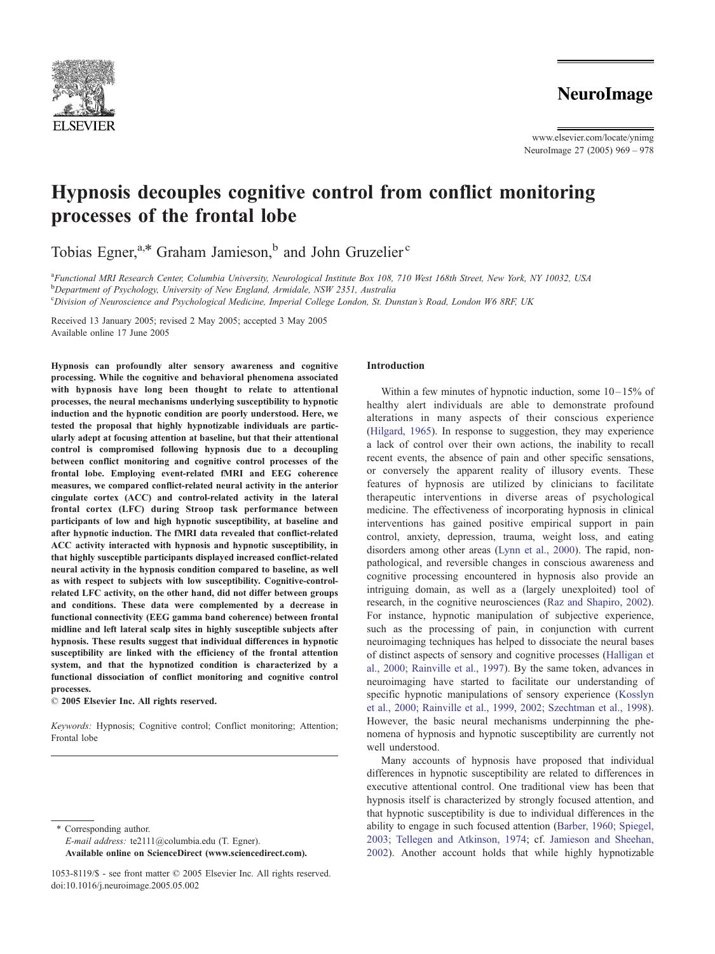

www.elsevier.com/locate/ynimg NeuroImage 27 (2005) 969 – 978

# Hypnosis decouples cognitive control from conflict monitoring processes of the frontal lobe

Tobias Egner, $a^*$  Graham Jamieson, $b$  and John Gruzelier<sup>c</sup>

a Functional MRI Research Center, Columbia University, Neurological Institute Box 108, 710 West 168th Street, New York, NY 10032, USA **b** Department of Psychology, University of New England, Armidale, NSW 2351, Australia

c Division of Neuroscience and Psychological Medicine, Imperial College London, St. Dunstan's Road, London W6 8RF, UK

Received 13 January 2005; revised 2 May 2005; accepted 3 May 2005 Available online 17 June 2005

Hypnosis can profoundly alter sensory awareness and cognitive processing. While the cognitive and behavioral phenomena associated with hypnosis have long been thought to relate to attentional processes, the neural mechanisms underlying susceptibility to hypnotic induction and the hypnotic condition are poorly understood. Here, we tested the proposal that highly hypnotizable individuals are particularly adept at focusing attention at baseline, but that their attentional control is compromised following hypnosis due to a decoupling between conflict monitoring and cognitive control processes of the frontal lobe. Employing event-related fMRI and EEG coherence measures, we compared conflict-related neural activity in the anterior cingulate cortex (ACC) and control-related activity in the lateral frontal cortex (LFC) during Stroop task performance between participants of low and high hypnotic susceptibility, at baseline and after hypnotic induction. The fMRI data revealed that conflict-related ACC activity interacted with hypnosis and hypnotic susceptibility, in that highly susceptible participants displayed increased conflict-related neural activity in the hypnosis condition compared to baseline, as well as with respect to subjects with low susceptibility. Cognitive-controlrelated LFC activity, on the other hand, did not differ between groups and conditions. These data were complemented by a decrease in functional connectivity (EEG gamma band coherence) between frontal midline and left lateral scalp sites in highly susceptible subjects after hypnosis. These results suggest that individual differences in hypnotic susceptibility are linked with the efficiency of the frontal attention system, and that the hypnotized condition is characterized by a functional dissociation of conflict monitoring and cognitive control processes.

 $©$  2005 Elsevier Inc. All rights reserved.

Keywords: Hypnosis; Cognitive control; Conflict monitoring; Attention; Frontal lobe

\* Corresponding author.

E-mail address: te2111@columbia.edu (T. Egner). Available online on ScienceDirect ([www.sciencedirect.com](http://www.sciencedirect.com)).

# Introduction

Within a few minutes of hypnotic induction, some  $10-15\%$  of healthy alert individuals are able to demonstrate profound alterations in many aspects of their conscious experience ([Hilgard, 1965\)](#page-8-0). In response to suggestion, they may experience a lack of control over their own actions, the inability to recall recent events, the absence of pain and other specific sensations, or conversely the apparent reality of illusory events. These features of hypnosis are utilized by clinicians to facilitate therapeutic interventions in diverse areas of psychological medicine. The effectiveness of incorporating hypnosis in clinical interventions has gained positive empirical support in pain control, anxiety, depression, trauma, weight loss, and eating disorders among other areas ([Lynn et al., 2000\)](#page-8-0). The rapid, nonpathological, and reversible changes in conscious awareness and cognitive processing encountered in hypnosis also provide an intriguing domain, as well as a (largely unexploited) tool of research, in the cognitive neurosciences ([Raz and Shapiro, 2002\)](#page-9-0). For instance, hypnotic manipulation of subjective experience, such as the processing of pain, in conjunction with current neuroimaging techniques has helped to dissociate the neural bases of distinct aspects of sensory and cognitive processes ([Halligan et](#page-8-0) al., 2000; Rainville et al., 1997). By the same token, advances in neuroimaging have started to facilitate our understanding of specific hypnotic manipulations of sensory experience ([Kosslyn](#page-8-0) et al., 2000; Rainville et al., 1999, 2002; Szechtman et al., 1998). However, the basic neural mechanisms underpinning the phenomena of hypnosis and hypnotic susceptibility are currently not well understood.

Many accounts of hypnosis have proposed that individual differences in hypnotic susceptibility are related to differences in executive attentional control. One traditional view has been that hypnosis itself is characterized by strongly focused attention, and that hypnotic susceptibility is due to individual differences in the ability to engage in such focused attention ([Barber, 1960; Spiegel,](#page-7-0) 2003; Tellegen and Atkinson, 1974; cf. [Jamieson and Sheehan,](#page-8-0) 2002). Another account holds that while highly hypnotizable

<sup>1053-8119/\$ -</sup> see front matter © 2005 Elsevier Inc. All rights reserved. doi:10.1016/j.neuroimage.2005.05.002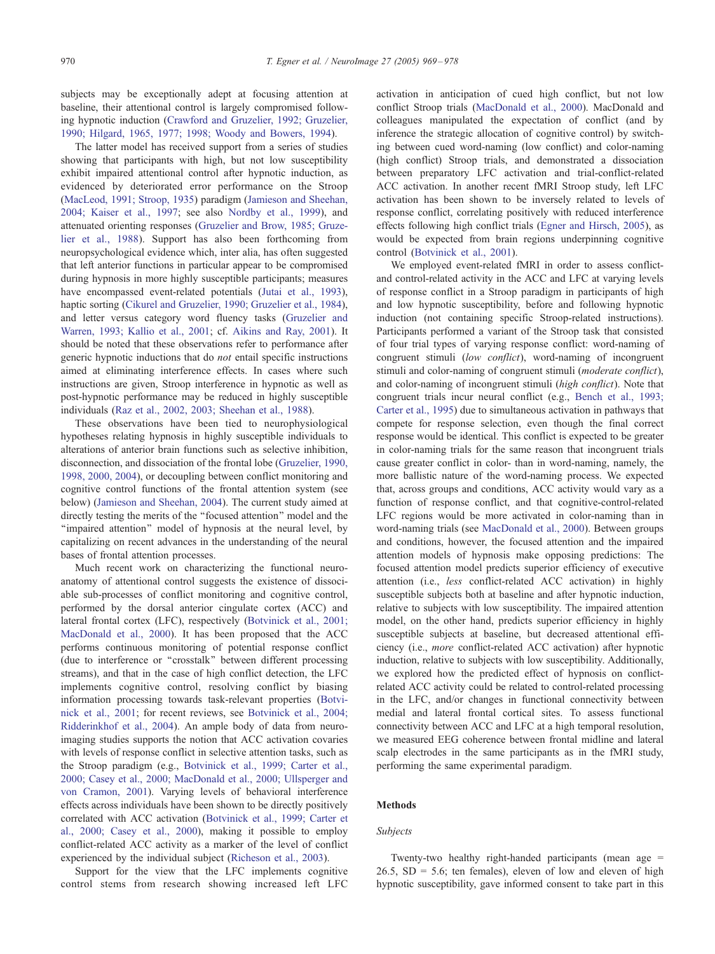subjects may be exceptionally adept at focusing attention at baseline, their attentional control is largely compromised following hypnotic induction ([Crawford and Gruzelier, 1992; Gruzelier,](#page-8-0) 1990; Hilgard, 1965, 1977; 1998; Woody and Bowers, 1994).

The latter model has received support from a series of studies showing that participants with high, but not low susceptibility exhibit impaired attentional control after hypnotic induction, as evidenced by deteriorated error performance on the Stroop ([MacLeod, 1991; Stroop, 1935\)](#page-8-0) paradigm ([Jamieson and Sheehan,](#page-8-0) 2004; Kaiser et al., 1997; see also [Nordby et al., 1999\)](#page-8-0), and attenuated orienting responses ([Gruzelier and Brow, 1985; Gruze](#page-8-0)lier et al., 1988). Support has also been forthcoming from neuropsychological evidence which, inter alia, has often suggested that left anterior functions in particular appear to be compromised during hypnosis in more highly susceptible participants; measures have encompassed event-related potentials ([Jutai et al., 1993\)](#page-8-0), haptic sorting ([Cikurel and Gruzelier, 1990; Gruzelier et al., 1984\)](#page-8-0), and letter versus category word fluency tasks ([Gruzelier and](#page-8-0) Warren, 1993; Kallio et al., 2001; cf. [Aikins and Ray, 2001\)](#page-7-0). It should be noted that these observations refer to performance after generic hypnotic inductions that do not entail specific instructions aimed at eliminating interference effects. In cases where such instructions are given, Stroop interference in hypnotic as well as post-hypnotic performance may be reduced in highly susceptible individuals [\(Raz et al., 2002, 2003; Sheehan et al., 1988\)](#page-9-0).

These observations have been tied to neurophysiological hypotheses relating hypnosis in highly susceptible individuals to alterations of anterior brain functions such as selective inhibition, disconnection, and dissociation of the frontal lobe ([Gruzelier, 1990,](#page-8-0) 1998, 2000, 2004), or decoupling between conflict monitoring and cognitive control functions of the frontal attention system (see below) ([Jamieson and Sheehan, 2004\)](#page-8-0). The current study aimed at directly testing the merits of the ''focused attention'' model and the ''impaired attention'' model of hypnosis at the neural level, by capitalizing on recent advances in the understanding of the neural bases of frontal attention processes.

Much recent work on characterizing the functional neuroanatomy of attentional control suggests the existence of dissociable sub-processes of conflict monitoring and cognitive control, performed by the dorsal anterior cingulate cortex (ACC) and lateral frontal cortex (LFC), respectively ([Botvinick et al., 2001;](#page-7-0) MacDonald et al., 2000). It has been proposed that the ACC performs continuous monitoring of potential response conflict (due to interference or ''crosstalk'' between different processing streams), and that in the case of high conflict detection, the LFC implements cognitive control, resolving conflict by biasing information processing towards task-relevant properties ([Botvi](#page-7-0)nick et al., 2001; for recent reviews, see [Botvinick et al., 2004;](#page-7-0) Ridderinkhof et al., 2004). An ample body of data from neuroimaging studies supports the notion that ACC activation covaries with levels of response conflict in selective attention tasks, such as the Stroop paradigm (e.g., [Botvinick et al., 1999; Carter et al.,](#page-7-0) 2000; Casey et al., 2000; MacDonald et al., 2000; Ullsperger and von Cramon, 2001). Varying levels of behavioral interference effects across individuals have been shown to be directly positively correlated with ACC activation ([Botvinick et al., 1999; Carter et](#page-7-0) al., 2000; Casey et al., 2000), making it possible to employ conflict-related ACC activity as a marker of the level of conflict experienced by the individual subject ([Richeson et al., 2003\)](#page-9-0).

Support for the view that the LFC implements cognitive control stems from research showing increased left LFC

activation in anticipation of cued high conflict, but not low conflict Stroop trials ([MacDonald et al., 2000\)](#page-8-0). MacDonald and colleagues manipulated the expectation of conflict (and by inference the strategic allocation of cognitive control) by switching between cued word-naming (low conflict) and color-naming (high conflict) Stroop trials, and demonstrated a dissociation between preparatory LFC activation and trial-conflict-related ACC activation. In another recent fMRI Stroop study, left LFC activation has been shown to be inversely related to levels of response conflict, correlating positively with reduced interference effects following high conflict trials ([Egner and Hirsch, 2005\)](#page-8-0), as would be expected from brain regions underpinning cognitive control ([Botvinick et al., 2001\)](#page-7-0).

We employed event-related fMRI in order to assess conflictand control-related activity in the ACC and LFC at varying levels of response conflict in a Stroop paradigm in participants of high and low hypnotic susceptibility, before and following hypnotic induction (not containing specific Stroop-related instructions). Participants performed a variant of the Stroop task that consisted of four trial types of varying response conflict: word-naming of congruent stimuli (low conflict), word-naming of incongruent stimuli and color-naming of congruent stimuli (moderate conflict), and color-naming of incongruent stimuli (high conflict). Note that congruent trials incur neural conflict (e.g., [Bench et al., 1993;](#page-7-0) Carter et al., 1995) due to simultaneous activation in pathways that compete for response selection, even though the final correct response would be identical. This conflict is expected to be greater in color-naming trials for the same reason that incongruent trials cause greater conflict in color- than in word-naming, namely, the more ballistic nature of the word-naming process. We expected that, across groups and conditions, ACC activity would vary as a function of response conflict, and that cognitive-control-related LFC regions would be more activated in color-naming than in word-naming trials (see [MacDonald et al., 2000\)](#page-8-0). Between groups and conditions, however, the focused attention and the impaired attention models of hypnosis make opposing predictions: The focused attention model predicts superior efficiency of executive attention (i.e., less conflict-related ACC activation) in highly susceptible subjects both at baseline and after hypnotic induction, relative to subjects with low susceptibility. The impaired attention model, on the other hand, predicts superior efficiency in highly susceptible subjects at baseline, but decreased attentional efficiency (i.e., more conflict-related ACC activation) after hypnotic induction, relative to subjects with low susceptibility. Additionally, we explored how the predicted effect of hypnosis on conflictrelated ACC activity could be related to control-related processing in the LFC, and/or changes in functional connectivity between medial and lateral frontal cortical sites. To assess functional connectivity between ACC and LFC at a high temporal resolution, we measured EEG coherence between frontal midline and lateral scalp electrodes in the same participants as in the fMRI study, performing the same experimental paradigm.

# Methods

## Subjects

Twenty-two healthy right-handed participants (mean age =  $26.5$ ,  $SD = 5.6$ ; ten females), eleven of low and eleven of high hypnotic susceptibility, gave informed consent to take part in this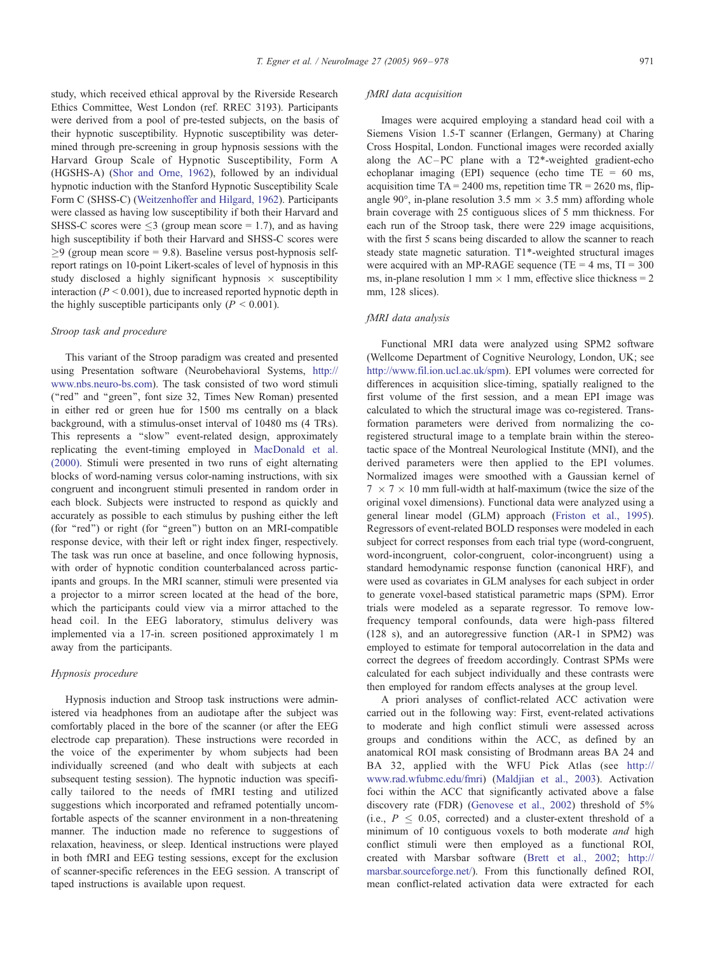study, which received ethical approval by the Riverside Research Ethics Committee, West London (ref. RREC 3193). Participants were derived from a pool of pre-tested subjects, on the basis of their hypnotic susceptibility. Hypnotic susceptibility was determined through pre-screening in group hypnosis sessions with the Harvard Group Scale of Hypnotic Susceptibility, Form A (HGSHS-A) [\(Shor and Orne, 1962\)](#page-9-0), followed by an individual hypnotic induction with the Stanford Hypnotic Susceptibility Scale Form C (SHSS-C) ([Weitzenhoffer and Hilgard, 1962\)](#page-9-0). Participants were classed as having low susceptibility if both their Harvard and SHSS-C scores were  $\leq$ 3 (group mean score = 1.7), and as having high susceptibility if both their Harvard and SHSS-C scores were  $\geq$ 9 (group mean score = 9.8). Baseline versus post-hypnosis selfreport ratings on 10-point Likert-scales of level of hypnosis in this study disclosed a highly significant hypnosis  $\times$  susceptibility interaction ( $P \le 0.001$ ), due to increased reported hypnotic depth in the highly susceptible participants only ( $P \le 0.001$ ).

# Stroop task and procedure

This variant of the Stroop paradigm was created and presented using Presentation software (Neurobehavioral Systems, [http://](http://www.nbs.neuro%1Ebs.com) www.nbs.neuro-bs.com). The task consisted of two word stimuli (''red'' and ''green'', font size 32, Times New Roman) presented in either red or green hue for 1500 ms centrally on a black background, with a stimulus-onset interval of 10480 ms (4 TRs). This represents a "slow" event-related design, approximately replicating the event-timing employed in [MacDonald et al.](#page-8-0) (2000). Stimuli were presented in two runs of eight alternating blocks of word-naming versus color-naming instructions, with six congruent and incongruent stimuli presented in random order in each block. Subjects were instructed to respond as quickly and accurately as possible to each stimulus by pushing either the left (for "red") or right (for "green") button on an MRI-compatible response device, with their left or right index finger, respectively. The task was run once at baseline, and once following hypnosis, with order of hypnotic condition counterbalanced across participants and groups. In the MRI scanner, stimuli were presented via a projector to a mirror screen located at the head of the bore, which the participants could view via a mirror attached to the head coil. In the EEG laboratory, stimulus delivery was implemented via a 17-in. screen positioned approximately 1 m away from the participants.

## Hypnosis procedure

Hypnosis induction and Stroop task instructions were administered via headphones from an audiotape after the subject was comfortably placed in the bore of the scanner (or after the EEG electrode cap preparation). These instructions were recorded in the voice of the experimenter by whom subjects had been individually screened (and who dealt with subjects at each subsequent testing session). The hypnotic induction was specifically tailored to the needs of fMRI testing and utilized suggestions which incorporated and reframed potentially uncomfortable aspects of the scanner environment in a non-threatening manner. The induction made no reference to suggestions of relaxation, heaviness, or sleep. Identical instructions were played in both fMRI and EEG testing sessions, except for the exclusion of scanner-specific references in the EEG session. A transcript of taped instructions is available upon request.

## fMRI data acquisition

Images were acquired employing a standard head coil with a Siemens Vision 1.5-T scanner (Erlangen, Germany) at Charing Cross Hospital, London. Functional images were recorded axially along the  $AC-PC$  plane with a  $T2^*$ -weighted gradient-echo echoplanar imaging (EPI) sequence (echo time  $TE = 60$  ms, acquisition time  $TA = 2400$  ms, repetition time  $TR = 2620$  ms, flipangle 90 $^{\circ}$ , in-plane resolution 3.5 mm  $\times$  3.5 mm) affording whole brain coverage with 25 contiguous slices of 5 mm thickness. For each run of the Stroop task, there were 229 image acquisitions, with the first 5 scans being discarded to allow the scanner to reach steady state magnetic saturation. T1\*-weighted structural images were acquired with an MP-RAGE sequence (TE =  $4 \text{ ms}$ , TI =  $300 \text{ s}$ ms, in-plane resolution 1 mm  $\times$  1 mm, effective slice thickness = 2 mm, 128 slices).

# fMRI data analysis

Functional MRI data were analyzed using SPM2 software (Wellcome Department of Cognitive Neurology, London, UK; see [http://www.fil.ion.ucl.ac.uk/spm\)](http://www.fil.ion.ucl.ac.uk/spm). EPI volumes were corrected for differences in acquisition slice-timing, spatially realigned to the first volume of the first session, and a mean EPI image was calculated to which the structural image was co-registered. Transformation parameters were derived from normalizing the coregistered structural image to a template brain within the stereotactic space of the Montreal Neurological Institute (MNI), and the derived parameters were then applied to the EPI volumes. Normalized images were smoothed with a Gaussian kernel of  $7 \times 7 \times 10$  mm full-width at half-maximum (twice the size of the original voxel dimensions). Functional data were analyzed using a general linear model (GLM) approach ([Friston et al., 1995\)](#page-8-0). Regressors of event-related BOLD responses were modeled in each subject for correct responses from each trial type (word-congruent, word-incongruent, color-congruent, color-incongruent) using a standard hemodynamic response function (canonical HRF), and were used as covariates in GLM analyses for each subject in order to generate voxel-based statistical parametric maps (SPM). Error trials were modeled as a separate regressor. To remove lowfrequency temporal confounds, data were high-pass filtered (128 s), and an autoregressive function (AR-1 in SPM2) was employed to estimate for temporal autocorrelation in the data and correct the degrees of freedom accordingly. Contrast SPMs were calculated for each subject individually and these contrasts were then employed for random effects analyses at the group level.

A priori analyses of conflict-related ACC activation were carried out in the following way: First, event-related activations to moderate and high conflict stimuli were assessed across groups and conditions within the ACC, as defined by an anatomical ROI mask consisting of Brodmann areas BA 24 and BA 32, applied with the WFU Pick Atlas (see [http://](http://www.rad.wfubmc.edu/fmri) www.rad.wfubmc.edu/fmri) ([Maldjian et al., 2003\)](#page-8-0). Activation foci within the ACC that significantly activated above a false discovery rate (FDR) ([Genovese et al., 2002\)](#page-8-0) threshold of 5% (i.e.,  $P \leq 0.05$ , corrected) and a cluster-extent threshold of a minimum of 10 contiguous voxels to both moderate and high conflict stimuli were then employed as a functional ROI, created with Marsbar software ([Brett et al., 2002;](#page-7-0) [http://](http://marsbar.sourceforge.net/) marsbar.sourceforge.net/). From this functionally defined ROI, mean conflict-related activation data were extracted for each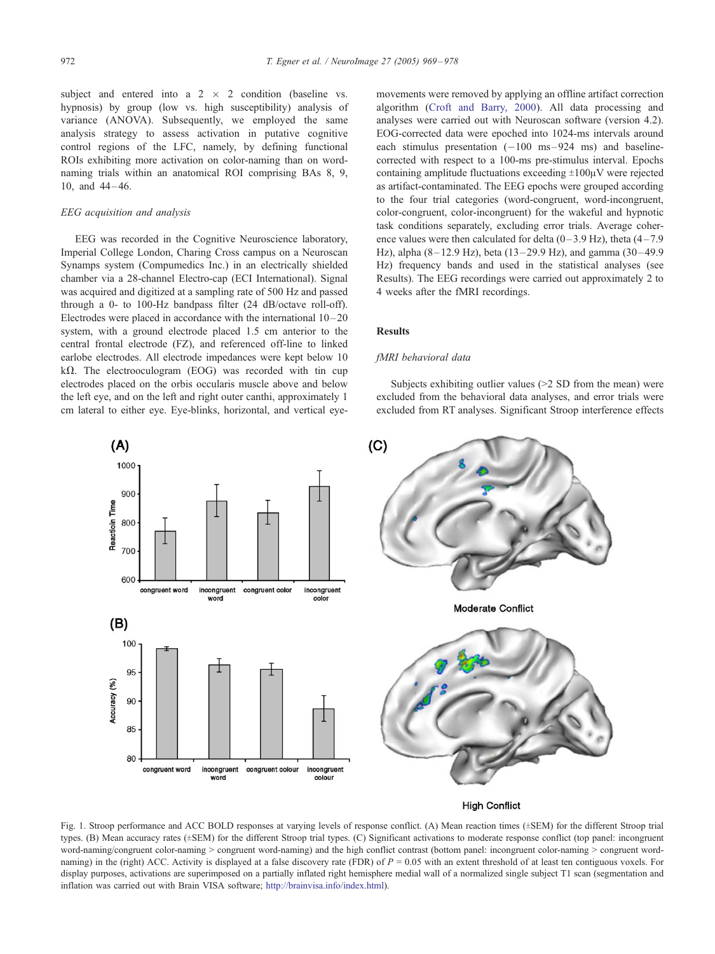<span id="page-3-0"></span>subject and entered into a  $2 \times 2$  condition (baseline vs. hypnosis) by group (low vs. high susceptibility) analysis of variance (ANOVA). Subsequently, we employed the same analysis strategy to assess activation in putative cognitive control regions of the LFC, namely, by defining functional ROIs exhibiting more activation on color-naming than on wordnaming trials within an anatomical ROI comprising BAs 8, 9, 10, and  $44 - 46$ .

### EEG acquisition and analysis

EEG was recorded in the Cognitive Neuroscience laboratory, Imperial College London, Charing Cross campus on a Neuroscan Synamps system (Compumedics Inc.) in an electrically shielded chamber via a 28-channel Electro-cap (ECI International). Signal was acquired and digitized at a sampling rate of 500 Hz and passed through a 0- to 100-Hz bandpass filter (24 dB/octave roll-off). Electrodes were placed in accordance with the international  $10-20$ system, with a ground electrode placed 1.5 cm anterior to the central frontal electrode (FZ), and referenced off-line to linked earlobe electrodes. All electrode impedances were kept below 10  $k\Omega$ . The electrooculogram (EOG) was recorded with tin cup electrodes placed on the orbis occularis muscle above and below the left eye, and on the left and right outer canthi, approximately 1 cm lateral to either eye. Eye-blinks, horizontal, and vertical eyemovements were removed by applying an offline artifact correction algorithm ([Croft and Barry, 2000\)](#page-8-0). All data processing and analyses were carried out with Neuroscan software (version 4.2). EOG-corrected data were epoched into 1024-ms intervals around each stimulus presentation  $(-100 \text{ ms} - 924 \text{ ms})$  and baselinecorrected with respect to a 100-ms pre-stimulus interval. Epochs containing amplitude fluctuations exceeding  $\pm 100 \mu V$  were rejected as artifact-contaminated. The EEG epochs were grouped according to the four trial categories (word-congruent, word-incongruent, color-congruent, color-incongruent) for the wakeful and hypnotic task conditions separately, excluding error trials. Average coherence values were then calculated for delta  $(0-3.9 \text{ Hz})$ , theta  $(4-7.9 \text{ Hz})$ Hz), alpha  $(8-12.9 \text{ Hz})$ , beta  $(13-29.9 \text{ Hz})$ , and gamma  $(30-49.9 \text{ Hz})$ Hz) frequency bands and used in the statistical analyses (see Results). The EEG recordings were carried out approximately 2 to 4 weeks after the fMRI recordings.

# Results

# fMRI behavioral data

Subjects exhibiting outlier values ( $>2$  SD from the mean) were excluded from the behavioral data analyses, and error trials were excluded from RT analyses. Significant Stroop interference effects



### **High Conflict**

Fig. 1. Stroop performance and ACC BOLD responses at varying levels of response conflict. (A) Mean reaction times ( $\pm$ SEM) for the different Stroop trial types. (B) Mean accuracy rates (±SEM) for the different Stroop trial types. (C) Significant activations to moderate response conflict (top panel: incongruent word-naming/congruent color-naming > congruent word-naming) and the high conflict contrast (bottom panel: incongruent color-naming > congruent wordnaming) in the (right) ACC. Activity is displayed at a false discovery rate (FDR) of  $P = 0.05$  with an extent threshold of at least ten contiguous voxels. For display purposes, activations are superimposed on a partially inflated right hemisphere medial wall of a normalized single subject T1 scan (segmentation and inflation was carried out with Brain VISA software; [http://brainvisa.info/index.html\)](http://brainvisa.info/index.html).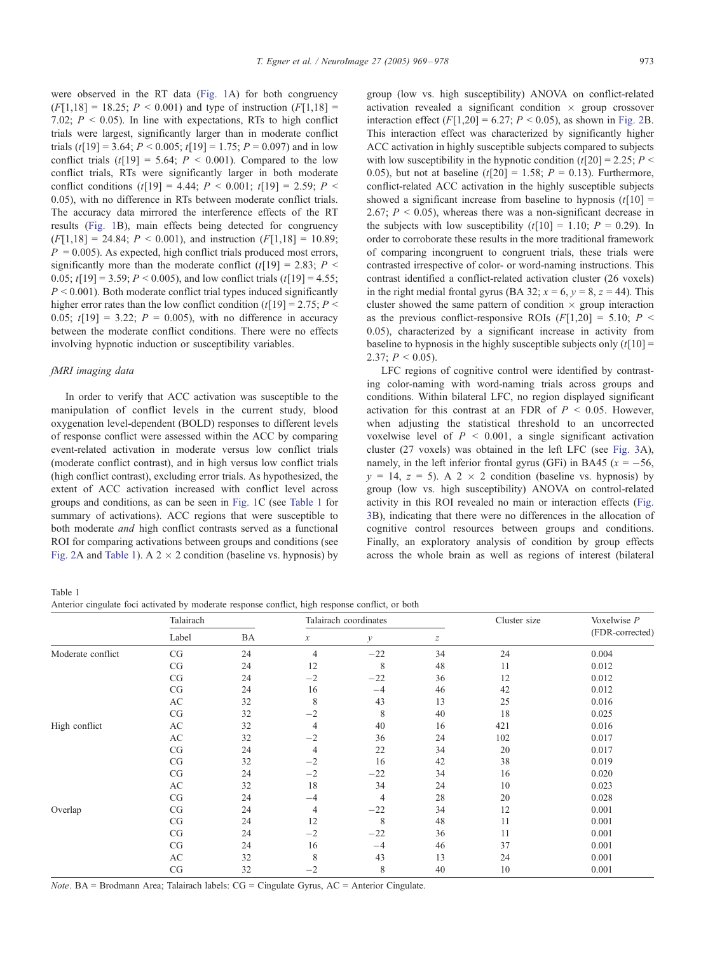were observed in the RT data ([Fig. 1A](#page-3-0)) for both congruency  $(F[1,18] = 18.25; P \le 0.001)$  and type of instruction  $(F[1,18]) =$ 7.02;  $P \le 0.05$ ). In line with expectations, RTs to high conflict trials were largest, significantly larger than in moderate conflict trials (t[19] = 3.64;  $P < 0.005$ ; t[19] = 1.75;  $P = 0.097$ ) and in low conflict trials  $(t[19] = 5.64; P < 0.001)$ . Compared to the low conflict trials, RTs were significantly larger in both moderate conflict conditions  $(t[19] = 4.44; P \le 0.001; t[19] = 2.59; P \le$ 0.05), with no difference in RTs between moderate conflict trials. The accuracy data mirrored the interference effects of the RT results ([Fig. 1B](#page-3-0)), main effects being detected for congruency  $(F[1,18] = 24.84; P \le 0.001)$ , and instruction  $(F[1,18] = 10.89;$  $P = 0.005$ ). As expected, high conflict trials produced most errors, significantly more than the moderate conflict  $(t[19] = 2.83; P <$ 0.05;  $t[19] = 3.59$ ;  $P < 0.005$ ), and low conflict trials  $(t[19] = 4.55$ ;  $P < 0.001$ ). Both moderate conflict trial types induced significantly higher error rates than the low conflict condition ( $t[19] = 2.75$ ;  $P \le$ 0.05;  $t[19] = 3.22$ ;  $P = 0.005$ ), with no difference in accuracy between the moderate conflict conditions. There were no effects involving hypnotic induction or susceptibility variables.

# fMRI imaging data

In order to verify that ACC activation was susceptible to the manipulation of conflict levels in the current study, blood oxygenation level-dependent (BOLD) responses to different levels of response conflict were assessed within the ACC by comparing event-related activation in moderate versus low conflict trials (moderate conflict contrast), and in high versus low conflict trials (high conflict contrast), excluding error trials. As hypothesized, the extent of ACC activation increased with conflict level across groups and conditions, as can be seen in [Fig. 1C](#page-3-0) (see Table 1 for summary of activations). ACC regions that were susceptible to both moderate and high conflict contrasts served as a functional ROI for comparing activations between groups and conditions (see [Fig. 2A](#page-5-0) and Table 1). A  $2 \times 2$  condition (baseline vs. hypnosis) by

group (low vs. high susceptibility) ANOVA on conflict-related activation revealed a significant condition  $\times$  group crossover interaction effect  $(F[1,20] = 6.27; P \le 0.05)$ , as shown in [Fig. 2B](#page-5-0). This interaction effect was characterized by significantly higher ACC activation in highly susceptible subjects compared to subjects with low susceptibility in the hypnotic condition  $(t[20] = 2.25; P \le$ 0.05), but not at baseline  $(t[20] = 1.58; P = 0.13)$ . Furthermore, conflict-related ACC activation in the highly susceptible subjects showed a significant increase from baseline to hypnosis  $(t[10] =$ 2.67;  $P < 0.05$ ), whereas there was a non-significant decrease in the subjects with low susceptibility  $(t[10] = 1.10; P = 0.29)$ . In order to corroborate these results in the more traditional framework of comparing incongruent to congruent trials, these trials were contrasted irrespective of color- or word-naming instructions. This contrast identified a conflict-related activation cluster (26 voxels) in the right medial frontal gyrus (BA 32;  $x = 6$ ,  $y = 8$ ,  $z = 44$ ). This cluster showed the same pattern of condition  $\times$  group interaction as the previous conflict-responsive ROIs  $(F[1,20] = 5.10; P \le$ 0.05), characterized by a significant increase in activity from baseline to hypnosis in the highly susceptible subjects only  $(t[10] =$ 2.37;  $P < 0.05$ ).

LFC regions of cognitive control were identified by contrasting color-naming with word-naming trials across groups and conditions. Within bilateral LFC, no region displayed significant activation for this contrast at an FDR of  $P \le 0.05$ . However, when adjusting the statistical threshold to an uncorrected voxelwise level of  $P \leq 0.001$ , a single significant activation cluster (27 voxels) was obtained in the left LFC (see [Fig. 3A](#page-5-0)), namely, in the left inferior frontal gyrus (GFi) in BA45 ( $x = -56$ ,  $y = 14$ ,  $z = 5$ ). A 2  $\times$  2 condition (baseline vs. hypnosis) by group (low vs. high susceptibility) ANOVA on control-related activity in this ROI revealed no main or interaction effects ([Fig.](#page-5-0) 3B), indicating that there were no differences in the allocation of cognitive control resources between groups and conditions. Finally, an exploratory analysis of condition by group effects across the whole brain as well as regions of interest (bilateral

Table 1

| Anterior cingulate foci activated by moderate response conflict, high response conflict, or both |  |  |  |  |  |  |  |  |  |
|--------------------------------------------------------------------------------------------------|--|--|--|--|--|--|--|--|--|
|--------------------------------------------------------------------------------------------------|--|--|--|--|--|--|--|--|--|

|                   | Talairach |    | Talairach coordinates |       |                  | Cluster size | Voxelwise $P$   |  |
|-------------------|-----------|----|-----------------------|-------|------------------|--------------|-----------------|--|
|                   | Label     | BA | $\boldsymbol{\chi}$   | y     | $\boldsymbol{Z}$ |              | (FDR-corrected) |  |
| Moderate conflict | CG        | 24 | $\overline{4}$        | $-22$ | 34               | 24           | 0.004           |  |
|                   | CG        | 24 | 12                    | 8     | 48               | 11           | 0.012           |  |
|                   | CG        | 24 | $-2$                  | $-22$ | 36               | 12           | 0.012           |  |
|                   | CG        | 24 | 16                    | $-4$  | 46               | 42           | 0.012           |  |
|                   | AC        | 32 | 8                     | 43    | 13               | 25           | 0.016           |  |
|                   | CG        | 32 | $-2$                  | 8     | 40               | 18           | 0.025           |  |
| High conflict     | AC        | 32 | $\overline{4}$        | 40    | 16               | 421          | 0.016           |  |
|                   | AC        | 32 | $-2$                  | 36    | 24               | 102          | 0.017           |  |
|                   | CG        | 24 | $\overline{4}$        | 22    | 34               | 20           | 0.017           |  |
|                   | CG        | 32 | $-2$                  | 16    | 42               | 38           | 0.019           |  |
|                   | CG        | 24 | $-2$                  | $-22$ | 34               | 16           | 0.020           |  |
|                   | AC        | 32 | 18                    | 34    | 24               | 10           | 0.023           |  |
|                   | CG        | 24 | $-4$                  | 4     | 28               | 20           | 0.028           |  |
| Overlap           | CG        | 24 | 4                     | $-22$ | 34               | 12           | 0.001           |  |
|                   | CG        | 24 | 12                    | 8     | 48               | 11           | 0.001           |  |
|                   | CG        | 24 | $-2$                  | $-22$ | 36               | 11           | 0.001           |  |
|                   | CG        | 24 | 16                    | $-4$  | 46               | 37           | 0.001           |  |
|                   | AC        | 32 | 8                     | 43    | 13               | 24           | 0.001           |  |
|                   | CG        | 32 | $-2$                  | 8     | 40               | 10           | 0.001           |  |

Note.  $BA = Brod$ mann Area; Talairach labels:  $CG = Cingulate Gyrus$ ,  $AC = Anterior Cingulate$ .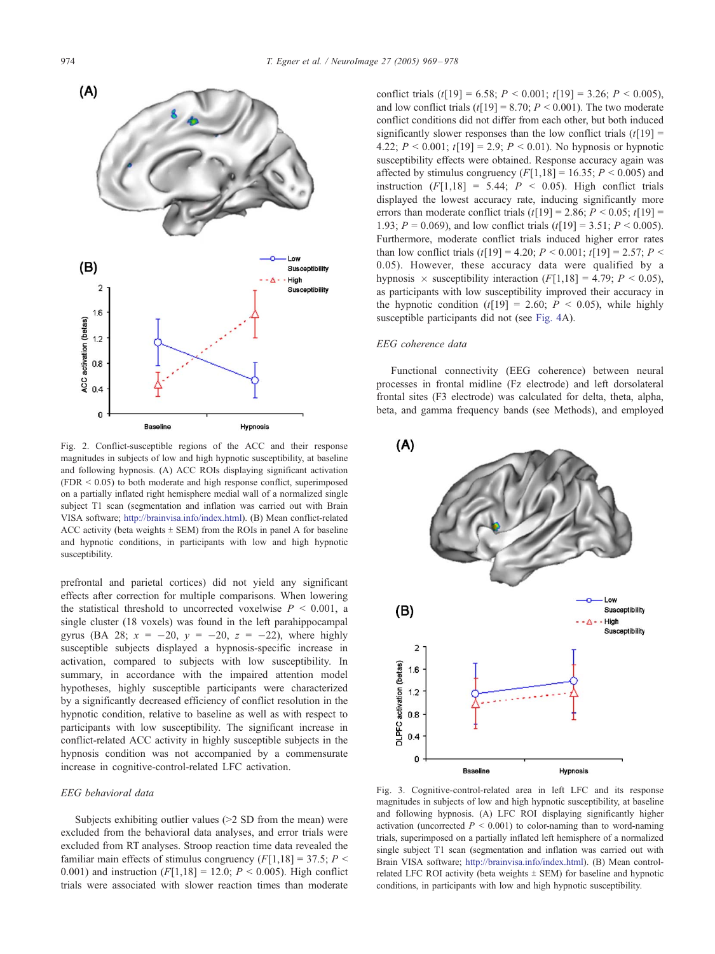<span id="page-5-0"></span>

Fig. 2. Conflict-susceptible regions of the ACC and their response magnitudes in subjects of low and high hypnotic susceptibility, at baseline and following hypnosis. (A) ACC ROIs displaying significant activation  $(FDR < 0.05)$  to both moderate and high response conflict, superimposed on a partially inflated right hemisphere medial wall of a normalized single subject T1 scan (segmentation and inflation was carried out with Brain VISA software; [http://brainvisa.info/index.html\)](http://brainvisa.info/index.html). (B) Mean conflict-related ACC activity (beta weights  $\pm$  SEM) from the ROIs in panel A for baseline and hypnotic conditions, in participants with low and high hypnotic susceptibility.

prefrontal and parietal cortices) did not yield any significant effects after correction for multiple comparisons. When lowering the statistical threshold to uncorrected voxelwise  $P < 0.001$ , a single cluster (18 voxels) was found in the left parahippocampal gyrus (BA 28;  $x = -20$ ,  $y = -20$ ,  $z = -22$ ), where highly susceptible subjects displayed a hypnosis-specific increase in activation, compared to subjects with low susceptibility. In summary, in accordance with the impaired attention model hypotheses, highly susceptible participants were characterized by a significantly decreased efficiency of conflict resolution in the hypnotic condition, relative to baseline as well as with respect to participants with low susceptibility. The significant increase in conflict-related ACC activity in highly susceptible subjects in the hypnosis condition was not accompanied by a commensurate increase in cognitive-control-related LFC activation.

# EEG behavioral data

Subjects exhibiting outlier values ( $>2$  SD from the mean) were excluded from the behavioral data analyses, and error trials were excluded from RT analyses. Stroop reaction time data revealed the familiar main effects of stimulus congruency  $(F[1,18] = 37.5; P <$ 0.001) and instruction  $(F[1,18] = 12.0; P < 0.005)$ . High conflict trials were associated with slower reaction times than moderate

conflict trials  $(t[19] = 6.58; P \le 0.001; t[19] = 3.26; P \le 0.005$ , and low conflict trials  $(t[19] = 8.70; P \le 0.001)$ . The two moderate conflict conditions did not differ from each other, but both induced significantly slower responses than the low conflict trials  $(t[19] =$ 4.22;  $P < 0.001$ ;  $t[19] = 2.9$ ;  $P < 0.01$ ). No hypnosis or hypnotic susceptibility effects were obtained. Response accuracy again was affected by stimulus congruency  $(F[1,18] = 16.35; P \le 0.005)$  and instruction  $(F[1,18] = 5.44; P < 0.05)$ . High conflict trials displayed the lowest accuracy rate, inducing significantly more errors than moderate conflict trials  $(t[19] = 2.86; P \le 0.05; t[19] =$ 1.93;  $P = 0.069$ , and low conflict trials  $(t[19] = 3.51$ ;  $P \le 0.005$ ). Furthermore, moderate conflict trials induced higher error rates than low conflict trials  $(t[19] = 4.20; P \le 0.001; t[19] = 2.57; P \le$ 0.05). However, these accuracy data were qualified by a hypnosis  $\times$  susceptibility interaction (F[1,18] = 4.79;  $P < 0.05$ ), as participants with low susceptibility improved their accuracy in the hypnotic condition  $(t[19] = 2.60; P < 0.05)$ , while highly susceptible participants did not (see [Fig. 4A](#page-6-0)).

# EEG coherence data

Functional connectivity (EEG coherence) between neural processes in frontal midline (Fz electrode) and left dorsolateral frontal sites (F3 electrode) was calculated for delta, theta, alpha, beta, and gamma frequency bands (see Methods), and employed



Fig. 3. Cognitive-control-related area in left LFC and its response magnitudes in subjects of low and high hypnotic susceptibility, at baseline and following hypnosis. (A) LFC ROI displaying significantly higher activation (uncorrected  $P \leq 0.001$ ) to color-naming than to word-naming trials, superimposed on a partially inflated left hemisphere of a normalized single subject T1 scan (segmentation and inflation was carried out with Brain VISA software; [http://brainvisa.info/index.html\)](http://brainvisa.info/index.html). (B) Mean controlrelated LFC ROI activity (beta weights  $\pm$  SEM) for baseline and hypnotic conditions, in participants with low and high hypnotic susceptibility.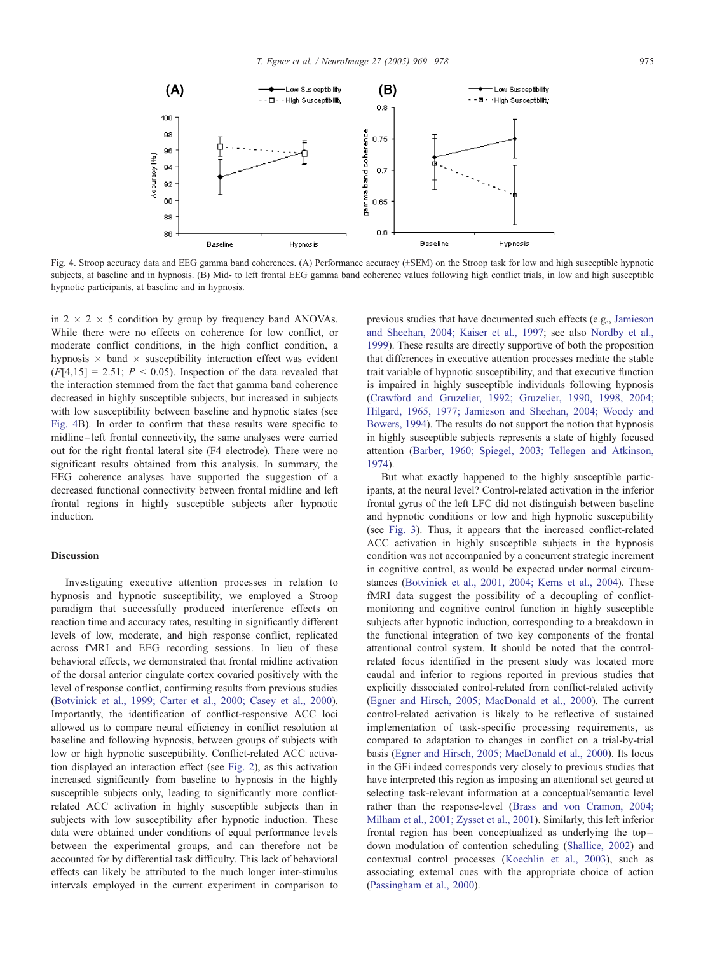<span id="page-6-0"></span>

Fig. 4. Stroop accuracy data and EEG gamma band coherences. (A) Performance accuracy ( $\pm$ SEM) on the Stroop task for low and high susceptible hypnotic subjects, at baseline and in hypnosis. (B) Mid- to left frontal EEG gamma band coherence values following high conflict trials, in low and high susceptible hypnotic participants, at baseline and in hypnosis.

in  $2 \times 2 \times 5$  condition by group by frequency band ANOVAs. While there were no effects on coherence for low conflict, or moderate conflict conditions, in the high conflict condition, a hypnosis  $\times$  band  $\times$  susceptibility interaction effect was evident  $(F[4,15] = 2.51; P \le 0.05)$ . Inspection of the data revealed that the interaction stemmed from the fact that gamma band coherence decreased in highly susceptible subjects, but increased in subjects with low susceptibility between baseline and hypnotic states (see Fig. 4B). In order to confirm that these results were specific to midline –left frontal connectivity, the same analyses were carried out for the right frontal lateral site (F4 electrode). There were no significant results obtained from this analysis. In summary, the EEG coherence analyses have supported the suggestion of a decreased functional connectivity between frontal midline and left frontal regions in highly susceptible subjects after hypnotic induction.

## Discussion

Investigating executive attention processes in relation to hypnosis and hypnotic susceptibility, we employed a Stroop paradigm that successfully produced interference effects on reaction time and accuracy rates, resulting in significantly different levels of low, moderate, and high response conflict, replicated across fMRI and EEG recording sessions. In lieu of these behavioral effects, we demonstrated that frontal midline activation of the dorsal anterior cingulate cortex covaried positively with the level of response conflict, confirming results from previous studies ([Botvinick et al., 1999; Carter et al., 2000; Casey et al., 2000\)](#page-7-0). Importantly, the identification of conflict-responsive ACC loci allowed us to compare neural efficiency in conflict resolution at baseline and following hypnosis, between groups of subjects with low or high hypnotic susceptibility. Conflict-related ACC activation displayed an interaction effect (see [Fig. 2\)](#page-5-0), as this activation increased significantly from baseline to hypnosis in the highly susceptible subjects only, leading to significantly more conflictrelated ACC activation in highly susceptible subjects than in subjects with low susceptibility after hypnotic induction. These data were obtained under conditions of equal performance levels between the experimental groups, and can therefore not be accounted for by differential task difficulty. This lack of behavioral effects can likely be attributed to the much longer inter-stimulus intervals employed in the current experiment in comparison to

previous studies that have documented such effects (e.g., [Jamieson](#page-8-0) and Sheehan, 2004; Kaiser et al., 1997; see also [Nordby et al.,](#page-8-0) 1999). These results are directly supportive of both the proposition that differences in executive attention processes mediate the stable trait variable of hypnotic susceptibility, and that executive function is impaired in highly susceptible individuals following hypnosis ([Crawford and Gruzelier, 1992; Gruzelier, 1990, 1998, 2004;](#page-8-0) Hilgard, 1965, 1977; Jamieson and Sheehan, 2004; Woody and Bowers, 1994). The results do not support the notion that hypnosis in highly susceptible subjects represents a state of highly focused attention ([Barber, 1960; Spiegel, 2003; Tellegen and Atkinson,](#page-7-0) 1974).

But what exactly happened to the highly susceptible participants, at the neural level? Control-related activation in the inferior frontal gyrus of the left LFC did not distinguish between baseline and hypnotic conditions or low and high hypnotic susceptibility (see [Fig. 3\)](#page-5-0). Thus, it appears that the increased conflict-related ACC activation in highly susceptible subjects in the hypnosis condition was not accompanied by a concurrent strategic increment in cognitive control, as would be expected under normal circumstances ([Botvinick et al., 2001, 2004; Kerns et al., 2004\)](#page-7-0). These fMRI data suggest the possibility of a decoupling of conflictmonitoring and cognitive control function in highly susceptible subjects after hypnotic induction, corresponding to a breakdown in the functional integration of two key components of the frontal attentional control system. It should be noted that the controlrelated focus identified in the present study was located more caudal and inferior to regions reported in previous studies that explicitly dissociated control-related from conflict-related activity ([Egner and Hirsch, 2005; MacDonald et al., 2000\)](#page-8-0). The current control-related activation is likely to be reflective of sustained implementation of task-specific processing requirements, as compared to adaptation to changes in conflict on a trial-by-trial basis ([Egner and Hirsch, 2005; MacDonald et al., 2000\)](#page-8-0). Its locus in the GFi indeed corresponds very closely to previous studies that have interpreted this region as imposing an attentional set geared at selecting task-relevant information at a conceptual/semantic level rather than the response-level ([Brass and von Cramon, 2004;](#page-7-0) Milham et al., 2001; Zysset et al., 2001). Similarly, this left inferior frontal region has been conceptualized as underlying the top – down modulation of contention scheduling ([Shallice, 2002\)](#page-9-0) and contextual control processes ([Koechlin et al., 2003\)](#page-8-0), such as associating external cues with the appropriate choice of action ([Passingham et al., 2000\)](#page-8-0).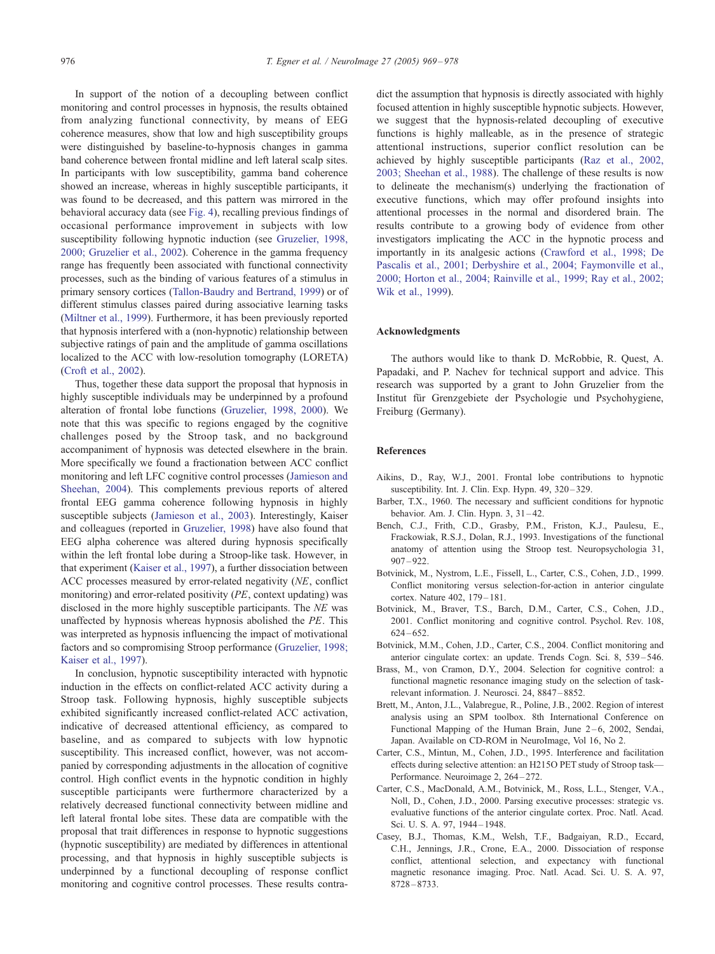<span id="page-7-0"></span>In support of the notion of a decoupling between conflict monitoring and control processes in hypnosis, the results obtained from analyzing functional connectivity, by means of EEG coherence measures, show that low and high susceptibility groups were distinguished by baseline-to-hypnosis changes in gamma band coherence between frontal midline and left lateral scalp sites. In participants with low susceptibility, gamma band coherence showed an increase, whereas in highly susceptible participants, it was found to be decreased, and this pattern was mirrored in the behavioral accuracy data (see [Fig. 4\)](#page-6-0), recalling previous findings of occasional performance improvement in subjects with low susceptibility following hypnotic induction (see [Gruzelier, 1998,](#page-8-0) 2000; Gruzelier et al., 2002). Coherence in the gamma frequency range has frequently been associated with functional connectivity processes, such as the binding of various features of a stimulus in primary sensory cortices ([Tallon-Baudry and Bertrand, 1999\)](#page-9-0) or of different stimulus classes paired during associative learning tasks ([Miltner et al., 1999\)](#page-8-0). Furthermore, it has been previously reported that hypnosis interfered with a (non-hypnotic) relationship between subjective ratings of pain and the amplitude of gamma oscillations localized to the ACC with low-resolution tomography (LORETA) ([Croft et al., 2002\)](#page-8-0).

Thus, together these data support the proposal that hypnosis in highly susceptible individuals may be underpinned by a profound alteration of frontal lobe functions ([Gruzelier, 1998, 2000\)](#page-8-0). We note that this was specific to regions engaged by the cognitive challenges posed by the Stroop task, and no background accompaniment of hypnosis was detected elsewhere in the brain. More specifically we found a fractionation between ACC conflict monitoring and left LFC cognitive control processes ([Jamieson and](#page-8-0) Sheehan, 2004). This complements previous reports of altered frontal EEG gamma coherence following hypnosis in highly susceptible subjects ([Jamieson et al., 2003\)](#page-8-0). Interestingly, Kaiser and colleagues (reported in [Gruzelier, 1998\)](#page-8-0) have also found that EEG alpha coherence was altered during hypnosis specifically within the left frontal lobe during a Stroop-like task. However, in that experiment [\(Kaiser et al., 1997\)](#page-8-0), a further dissociation between ACC processes measured by error-related negativity (NE, conflict monitoring) and error-related positivity (PE, context updating) was disclosed in the more highly susceptible participants. The NE was unaffected by hypnosis whereas hypnosis abolished the PE. This was interpreted as hypnosis influencing the impact of motivational factors and so compromising Stroop performance ([Gruzelier, 1998;](#page-8-0) Kaiser et al., 1997).

In conclusion, hypnotic susceptibility interacted with hypnotic induction in the effects on conflict-related ACC activity during a Stroop task. Following hypnosis, highly susceptible subjects exhibited significantly increased conflict-related ACC activation, indicative of decreased attentional efficiency, as compared to baseline, and as compared to subjects with low hypnotic susceptibility. This increased conflict, however, was not accompanied by corresponding adjustments in the allocation of cognitive control. High conflict events in the hypnotic condition in highly susceptible participants were furthermore characterized by a relatively decreased functional connectivity between midline and left lateral frontal lobe sites. These data are compatible with the proposal that trait differences in response to hypnotic suggestions (hypnotic susceptibility) are mediated by differences in attentional processing, and that hypnosis in highly susceptible subjects is underpinned by a functional decoupling of response conflict monitoring and cognitive control processes. These results contradict the assumption that hypnosis is directly associated with highly focused attention in highly susceptible hypnotic subjects. However, we suggest that the hypnosis-related decoupling of executive functions is highly malleable, as in the presence of strategic attentional instructions, superior conflict resolution can be achieved by highly susceptible participants ([Raz et al., 2002,](#page-9-0) 2003; Sheehan et al., 1988). The challenge of these results is now to delineate the mechanism(s) underlying the fractionation of executive functions, which may offer profound insights into attentional processes in the normal and disordered brain. The results contribute to a growing body of evidence from other investigators implicating the ACC in the hypnotic process and importantly in its analgesic actions ([Crawford et al., 1998; De](#page-8-0) Pascalis et al., 2001; Derbyshire et al., 2004; Faymonville et al., 2000; Horton et al., 2004; Rainville et al., 1999; Ray et al., 2002; Wik et al., 1999).

# Acknowledgments

The authors would like to thank D. McRobbie, R. Quest, A. Papadaki, and P. Nachev for technical support and advice. This research was supported by a grant to John Gruzelier from the Institut für Grenzgebiete der Psychologie und Psychohygiene, Freiburg (Germany).

## References

- Aikins, D., Ray, W.J., 2001. Frontal lobe contributions to hypnotic susceptibility. Int. J. Clin. Exp. Hypn.  $49, 320 - 329$ .
- Barber, T.X., 1960. The necessary and sufficient conditions for hypnotic behavior. Am. J. Clin. Hypn. 3, 31 – 42.
- Bench, C.J., Frith, C.D., Grasby, P.M., Friston, K.J., Paulesu, E., Frackowiak, R.S.J., Dolan, R.J., 1993. Investigations of the functional anatomy of attention using the Stroop test. Neuropsychologia 31, 907 – 922.
- Botvinick, M., Nystrom, L.E., Fissell, L., Carter, C.S., Cohen, J.D., 1999. Conflict monitoring versus selection-for-action in anterior cingulate cortex. Nature 402, 179-181.
- Botvinick, M., Braver, T.S., Barch, D.M., Carter, C.S., Cohen, J.D., 2001. Conflict monitoring and cognitive control. Psychol. Rev. 108,  $624 - 652$
- Botvinick, M.M., Cohen, J.D., Carter, C.S., 2004. Conflict monitoring and anterior cingulate cortex: an update. Trends Cogn. Sci. 8, 539 – 546.
- Brass, M., von Cramon, D.Y., 2004. Selection for cognitive control: a functional magnetic resonance imaging study on the selection of taskrelevant information. J. Neurosci. 24, 8847 – 8852.
- Brett, M., Anton, J.L., Valabregue, R., Poline, J.B., 2002. Region of interest analysis using an SPM toolbox. 8th International Conference on Functional Mapping of the Human Brain, June 2–6, 2002, Sendai, Japan. Available on CD-ROM in NeuroImage, Vol 16, No 2.
- Carter, C.S., Mintun, M., Cohen, J.D., 1995. Interference and facilitation effects during selective attention: an H215O PET study of Stroop task— Performance. Neuroimage 2, 264 – 272.
- Carter, C.S., MacDonald, A.M., Botvinick, M., Ross, L.L., Stenger, V.A., Noll, D., Cohen, J.D., 2000. Parsing executive processes: strategic vs. evaluative functions of the anterior cingulate cortex. Proc. Natl. Acad. Sci. U. S. A. 97, 1944-1948.
- Casey, B.J., Thomas, K.M., Welsh, T.F., Badgaiyan, R.D., Eccard, C.H., Jennings, J.R., Crone, E.A., 2000. Dissociation of response conflict, attentional selection, and expectancy with functional magnetic resonance imaging. Proc. Natl. Acad. Sci. U. S. A. 97, 8728 – 8733.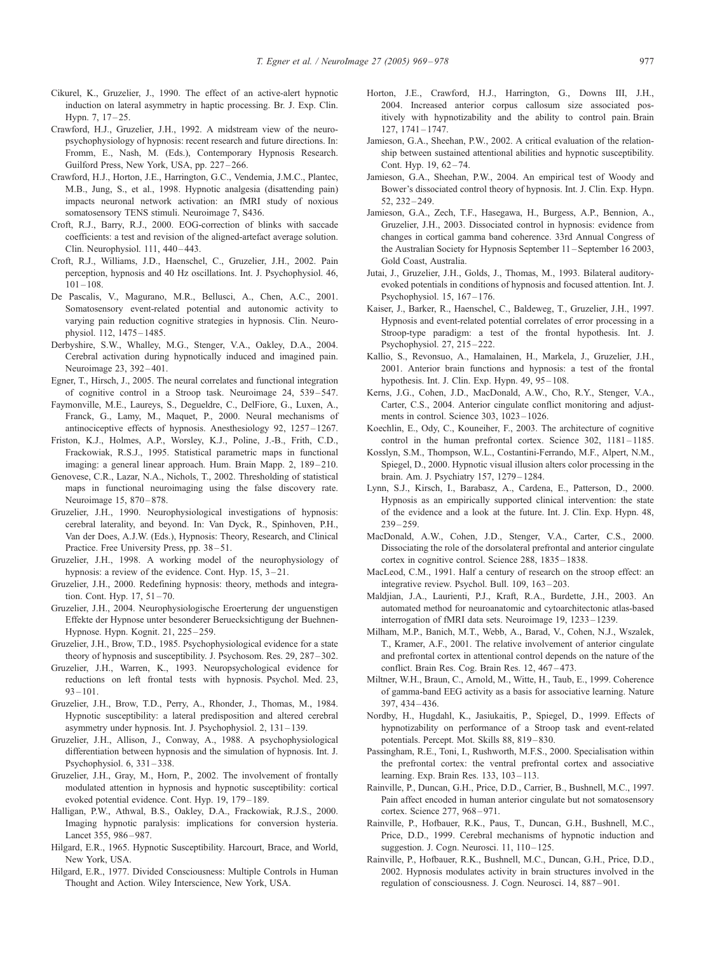- <span id="page-8-0"></span>Cikurel, K., Gruzelier, J., 1990. The effect of an active-alert hypnotic induction on lateral asymmetry in haptic processing. Br. J. Exp. Clin. Hypn. 7, 17-25.
- Crawford, H.J., Gruzelier, J.H., 1992. A midstream view of the neuropsychophysiology of hypnosis: recent research and future directions. In: Fromm, E., Nash, M. (Eds.), Contemporary Hypnosis Research. Guilford Press, New York, USA, pp. 227 – 266.
- Crawford, H.J., Horton, J.E., Harrington, G.C., Vendemia, J.M.C., Plantec, M.B., Jung, S., et al., 1998. Hypnotic analgesia (disattending pain) impacts neuronal network activation: an fMRI study of noxious somatosensory TENS stimuli. Neuroimage 7, S436.
- Croft, R.J., Barry, R.J., 2000. EOG-correction of blinks with saccade coefficients: a test and revision of the aligned-artefact average solution. Clin. Neurophysiol. 111, 440-443.
- Croft, R.J., Williams, J.D., Haenschel, C., Gruzelier, J.H., 2002. Pain perception, hypnosis and 40 Hz oscillations. Int. J. Psychophysiol. 46,  $101 - 108.$
- De Pascalis, V., Magurano, M.R., Bellusci, A., Chen, A.C., 2001. Somatosensory event-related potential and autonomic activity to varying pain reduction cognitive strategies in hypnosis. Clin. Neurophysiol. 112, 1475 – 1485.
- Derbyshire, S.W., Whalley, M.G., Stenger, V.A., Oakley, D.A., 2004. Cerebral activation during hypnotically induced and imagined pain. Neuroimage 23, 392-401.
- Egner, T., Hirsch, J., 2005. The neural correlates and functional integration of cognitive control in a Stroop task. Neuroimage 24, 539 – 547.
- Faymonville, M.E., Laureys, S., Degueldre, C., DelFiore, G., Luxen, A., Franck, G., Lamy, M., Maquet, P., 2000. Neural mechanisms of antinociceptive effects of hypnosis. Anesthesiology 92, 1257 – 1267.
- Friston, K.J., Holmes, A.P., Worsley, K.J., Poline, J.-B., Frith, C.D., Frackowiak, R.S.J., 1995. Statistical parametric maps in functional imaging: a general linear approach. Hum. Brain Mapp. 2, 189-210.
- Genovese, C.R., Lazar, N.A., Nichols, T., 2002. Thresholding of statistical maps in functional neuroimaging using the false discovery rate. Neuroimage 15, 870-878.
- Gruzelier, J.H., 1990. Neurophysiological investigations of hypnosis: cerebral laterality, and beyond. In: Van Dyck, R., Spinhoven, P.H., Van der Does, A.J.W. (Eds.), Hypnosis: Theory, Research, and Clinical Practice. Free University Press, pp. 38-51.
- Gruzelier, J.H., 1998. A working model of the neurophysiology of hypnosis: a review of the evidence. Cont. Hyp.  $15, 3-21$ .
- Gruzelier, J.H., 2000. Redefining hypnosis: theory, methods and integration. Cont. Hyp. 17, 51-70.
- Gruzelier, J.H., 2004. Neurophysiologische Eroerterung der unguenstigen Effekte der Hypnose unter besonderer Beruecksichtigung der Buehnen-Hypnose. Hypn. Kognit. 21, 225 – 259.
- Gruzelier, J.H., Brow, T.D., 1985. Psychophysiological evidence for a state theory of hypnosis and susceptibility. J. Psychosom. Res. 29, 287 – 302.
- Gruzelier, J.H., Warren, K., 1993. Neuropsychological evidence for reductions on left frontal tests with hypnosis. Psychol. Med. 23,  $93 - 101.$
- Gruzelier, J.H., Brow, T.D., Perry, A., Rhonder, J., Thomas, M., 1984. Hypnotic susceptibility: a lateral predisposition and altered cerebral asymmetry under hypnosis. Int. J. Psychophysiol. 2, 131 – 139.
- Gruzelier, J.H., Allison, J., Conway, A., 1988. A psychophysiological differentiation between hypnosis and the simulation of hypnosis. Int. J. Psychophysiol. 6, 331 – 338.
- Gruzelier, J.H., Gray, M., Horn, P., 2002. The involvement of frontally modulated attention in hypnosis and hypnotic susceptibility: cortical evoked potential evidence. Cont. Hyp. 19, 179-189.
- Halligan, P.W., Athwal, B.S., Oakley, D.A., Frackowiak, R.J.S., 2000. Imaging hypnotic paralysis: implications for conversion hysteria. Lancet 355, 986-987.
- Hilgard, E.R., 1965. Hypnotic Susceptibility. Harcourt, Brace, and World, New York, USA.
- Hilgard, E.R., 1977. Divided Consciousness: Multiple Controls in Human Thought and Action. Wiley Interscience, New York, USA.
- Horton, J.E., Crawford, H.J., Harrington, G., Downs III, J.H., 2004. Increased anterior corpus callosum size associated positively with hypnotizability and the ability to control pain. Brain 127, 1741 – 1747.
- Jamieson, G.A., Sheehan, P.W., 2002. A critical evaluation of the relationship between sustained attentional abilities and hypnotic susceptibility. Cont. Hyp. 19, 62-74.
- Jamieson, G.A., Sheehan, P.W., 2004. An empirical test of Woody and Bower's dissociated control theory of hypnosis. Int. J. Clin. Exp. Hypn. 52, 232 – 249.
- Jamieson, G.A., Zech, T.F., Hasegawa, H., Burgess, A.P., Bennion, A., Gruzelier, J.H., 2003. Dissociated control in hypnosis: evidence from changes in cortical gamma band coherence. 33rd Annual Congress of the Australian Society for Hypnosis September 11 – September 16 2003, Gold Coast, Australia.
- Jutai, J., Gruzelier, J.H., Golds, J., Thomas, M., 1993. Bilateral auditoryevoked potentials in conditions of hypnosis and focused attention. Int. J. Psychophysiol. 15, 167 – 176.
- Kaiser, J., Barker, R., Haenschel, C., Baldeweg, T., Gruzelier, J.H., 1997. Hypnosis and event-related potential correlates of error processing in a Stroop-type paradigm: a test of the frontal hypothesis. Int. J. Psychophysiol. 27, 215 – 222.
- Kallio, S., Revonsuo, A., Hamalainen, H., Markela, J., Gruzelier, J.H., 2001. Anterior brain functions and hypnosis: a test of the frontal hypothesis. Int. J. Clin. Exp. Hypn. 49, 95 – 108.
- Kerns, J.G., Cohen, J.D., MacDonald, A.W., Cho, R.Y., Stenger, V.A., Carter, C.S., 2004. Anterior cingulate conflict monitoring and adjustments in control. Science 303, 1023 – 1026.
- Koechlin, E., Ody, C., Kouneiher, F., 2003. The architecture of cognitive control in the human prefrontal cortex. Science 302, 1181-1185.
- Kosslyn, S.M., Thompson, W.L., Costantini-Ferrando, M.F., Alpert, N.M., Spiegel, D., 2000. Hypnotic visual illusion alters color processing in the brain. Am. J. Psychiatry 157, 1279 – 1284.
- Lynn, S.J., Kirsch, I., Barabasz, A., Cardena, E., Patterson, D., 2000. Hypnosis as an empirically supported clinical intervention: the state of the evidence and a look at the future. Int. J. Clin. Exp. Hypn. 48,  $239 - 259$
- MacDonald, A.W., Cohen, J.D., Stenger, V.A., Carter, C.S., 2000. Dissociating the role of the dorsolateral prefrontal and anterior cingulate cortex in cognitive control. Science 288, 1835 – 1838.
- MacLeod, C.M., 1991. Half a century of research on the stroop effect: an integrative review. Psychol. Bull. 109, 163 – 203.
- Maldjian, J.A., Laurienti, P.J., Kraft, R.A., Burdette, J.H., 2003. An automated method for neuroanatomic and cytoarchitectonic atlas-based interrogation of fMRI data sets. Neuroimage 19, 1233 – 1239.
- Milham, M.P., Banich, M.T., Webb, A., Barad, V., Cohen, N.J., Wszalek, T., Kramer, A.F., 2001. The relative involvement of anterior cingulate and prefrontal cortex in attentional control depends on the nature of the conflict. Brain Res. Cog. Brain Res. 12, 467 – 473.
- Miltner, W.H., Braun, C., Arnold, M., Witte, H., Taub, E., 1999. Coherence of gamma-band EEG activity as a basis for associative learning. Nature 397, 434 – 436.
- Nordby, H., Hugdahl, K., Jasiukaitis, P., Spiegel, D., 1999. Effects of hypnotizability on performance of a Stroop task and event-related potentials. Percept. Mot. Skills 88, 819 – 830.
- Passingham, R.E., Toni, I., Rushworth, M.F.S., 2000. Specialisation within the prefrontal cortex: the ventral prefrontal cortex and associative learning. Exp. Brain Res. 133, 103-113.
- Rainville, P., Duncan, G.H., Price, D.D., Carrier, B., Bushnell, M.C., 1997. Pain affect encoded in human anterior cingulate but not somatosensory cortex. Science 277, 968 – 971.
- Rainville, P., Hofbauer, R.K., Paus, T., Duncan, G.H., Bushnell, M.C., Price, D.D., 1999. Cerebral mechanisms of hypnotic induction and suggestion. J. Cogn. Neurosci. 11, 110 – 125.
- Rainville, P., Hofbauer, R.K., Bushnell, M.C., Duncan, G.H., Price, D.D., 2002. Hypnosis modulates activity in brain structures involved in the regulation of consciousness. J. Cogn. Neurosci. 14, 887 – 901.